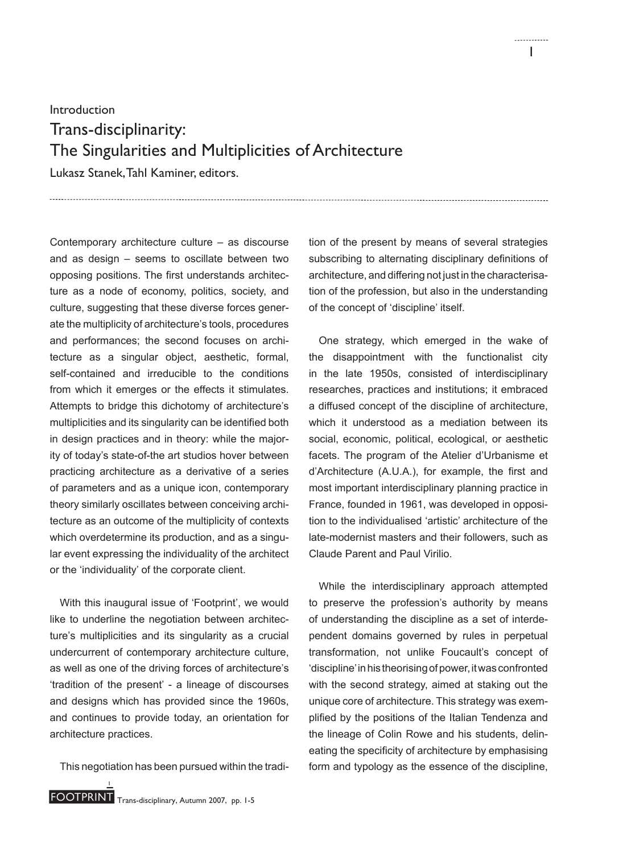Introduction

## Trans-disciplinarity: The Singularities and Multiplicities of Architecture

Lukasz Stanek, Tahl Kaminer, editors.

Contemporary architecture culture – as discourse and as design – seems to oscillate between two opposing positions. The first understands architecture as a node of economy, politics, society, and culture, suggesting that these diverse forces generate the multiplicity of architecture's tools, procedures and performances; the second focuses on architecture as a singular object, aesthetic, formal, self-contained and irreducible to the conditions from which it emerges or the effects it stimulates. Attempts to bridge this dichotomy of architecture's multiplicities and its singularity can be identified both in design practices and in theory: while the majority of today's state-of-the art studios hover between practicing architecture as a derivative of a series of parameters and as a unique icon, contemporary theory similarly oscillates between conceiving architecture as an outcome of the multiplicity of contexts which overdetermine its production, and as a singular event expressing the individuality of the architect or the 'individuality' of the corporate client.

With this inaugural issue of 'Footprint', we would like to underline the negotiation between architecture's multiplicities and its singularity as a crucial undercurrent of contemporary architecture culture, as well as one of the driving forces of architecture's 'tradition of the present' - a lineage of discourses and designs which has provided since the 1960s, and continues to provide today, an orientation for architecture practices.

This negotiation has been pursued within the tradi-

tion of the present by means of several strategies subscribing to alternating disciplinary definitions of architecture, and differing not just in the characterisation of the profession, but also in the understanding of the concept of 'discipline' itself.

One strategy, which emerged in the wake of the disappointment with the functionalist city in the late 1950s, consisted of interdisciplinary researches, practices and institutions; it embraced a diffused concept of the discipline of architecture, which it understood as a mediation between its social, economic, political, ecological, or aesthetic facets. The program of the Atelier d'Urbanisme et d'Architecture (A.U.A.), for example, the first and most important interdisciplinary planning practice in France, founded in 1961, was developed in opposition to the individualised 'artistic' architecture of the late-modernist masters and their followers, such as Claude Parent and Paul Virilio.

While the interdisciplinary approach attempted to preserve the profession's authority by means of understanding the discipline as a set of interdependent domains governed by rules in perpetual transformation, not unlike Foucault's concept of 'discipline' in his theorising of power, it was confronted with the second strategy, aimed at staking out the unique core of architecture. This strategy was exemplified by the positions of the Italian Tendenza and the lineage of Colin Rowe and his students, delineating the specificity of architecture by emphasising form and typology as the essence of the discipline,

1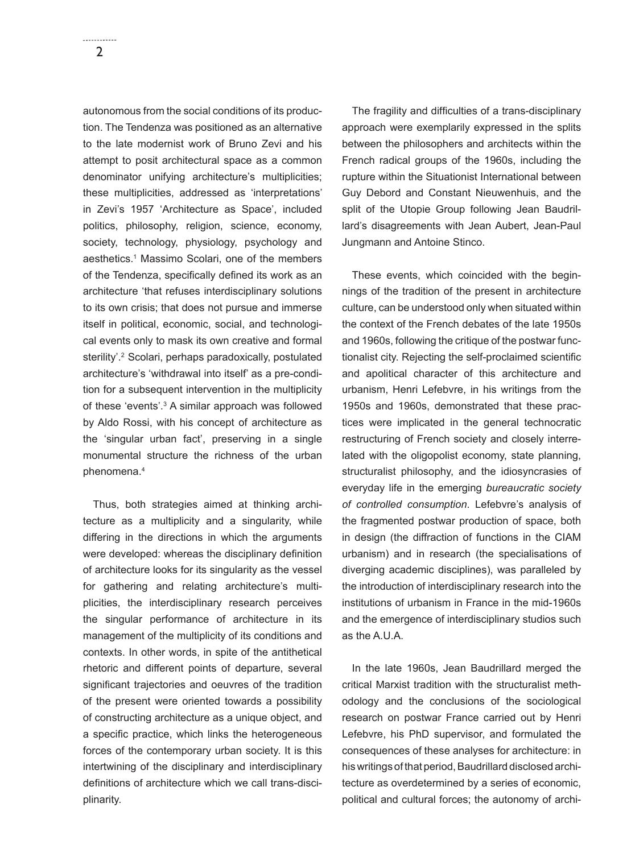autonomous from the social conditions of its production. The Tendenza was positioned as an alternative to the late modernist work of Bruno Zevi and his attempt to posit architectural space as a common denominator unifying architecture's multiplicities; these multiplicities, addressed as 'interpretations' in Zevi's 1957 'Architecture as Space', included politics, philosophy, religion, science, economy, society, technology, physiology, psychology and aesthetics.1 Massimo Scolari, one of the members of the Tendenza, specifically defined its work as an architecture 'that refuses interdisciplinary solutions to its own crisis; that does not pursue and immerse itself in political, economic, social, and technological events only to mask its own creative and formal sterility'.<sup>2</sup> Scolari, perhaps paradoxically, postulated architecture's 'withdrawal into itself' as a pre-condition for a subsequent intervention in the multiplicity of these 'events'.3 A similar approach was followed by Aldo Rossi, with his concept of architecture as the 'singular urban fact', preserving in a single monumental structure the richness of the urban phenomena.4

Thus, both strategies aimed at thinking architecture as a multiplicity and a singularity, while differing in the directions in which the arguments were developed: whereas the disciplinary definition of architecture looks for its singularity as the vessel for gathering and relating architecture's multiplicities, the interdisciplinary research perceives the singular performance of architecture in its management of the multiplicity of its conditions and contexts. In other words, in spite of the antithetical rhetoric and different points of departure, several significant trajectories and oeuvres of the tradition of the present were oriented towards a possibility of constructing architecture as a unique object, and a specific practice, which links the heterogeneous forces of the contemporary urban society. It is this intertwining of the disciplinary and interdisciplinary definitions of architecture which we call trans-disciplinarity.

The fragility and difficulties of a trans-disciplinary approach were exemplarily expressed in the splits between the philosophers and architects within the French radical groups of the 1960s, including the rupture within the Situationist International between Guy Debord and Constant Nieuwenhuis, and the split of the Utopie Group following Jean Baudrillard's disagreements with Jean Aubert, Jean-Paul Jungmann and Antoine Stinco.

These events, which coincided with the beginnings of the tradition of the present in architecture culture, can be understood only when situated within the context of the French debates of the late 1950s and 1960s, following the critique of the postwar functionalist city. Rejecting the self-proclaimed scientific and apolitical character of this architecture and urbanism, Henri Lefebvre, in his writings from the 1950s and 1960s, demonstrated that these practices were implicated in the general technocratic restructuring of French society and closely interrelated with the oligopolist economy, state planning, structuralist philosophy, and the idiosyncrasies of everyday life in the emerging *bureaucratic society of controlled consumption*. Lefebvre's analysis of the fragmented postwar production of space, both in design (the diffraction of functions in the CIAM urbanism) and in research (the specialisations of diverging academic disciplines), was paralleled by the introduction of interdisciplinary research into the institutions of urbanism in France in the mid-1960s and the emergence of interdisciplinary studios such as the A.U.A.

In the late 1960s, Jean Baudrillard merged the critical Marxist tradition with the structuralist methodology and the conclusions of the sociological research on postwar France carried out by Henri Lefebvre, his PhD supervisor, and formulated the consequences of these analyses for architecture: in his writings of that period, Baudrillard disclosed architecture as overdetermined by a series of economic, political and cultural forces; the autonomy of archi-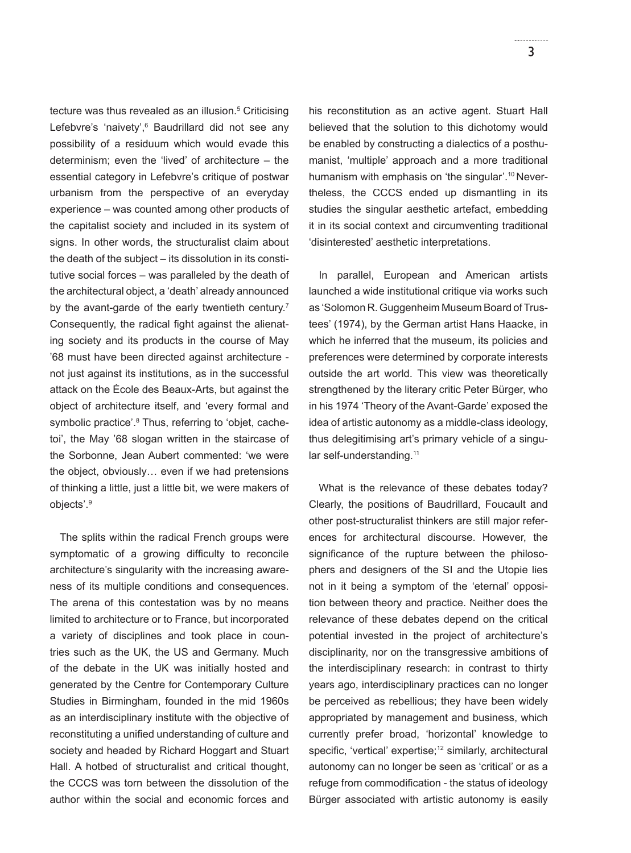tecture was thus revealed as an illusion.5 Criticising Lefebvre's 'naivety',<sup>6</sup> Baudrillard did not see any possibility of a residuum which would evade this determinism; even the 'lived' of architecture – the essential category in Lefebvre's critique of postwar urbanism from the perspective of an everyday experience – was counted among other products of the capitalist society and included in its system of signs. In other words, the structuralist claim about the death of the subject – its dissolution in its constitutive social forces – was paralleled by the death of the architectural object, a 'death' already announced by the avant-garde of the early twentieth century.<sup>7</sup> Consequently, the radical fight against the alienating society and its products in the course of May '68 must have been directed against architecture not just against its institutions, as in the successful attack on the École des Beaux-Arts, but against the object of architecture itself, and 'every formal and symbolic practice'.<sup>8</sup> Thus, referring to 'objet, cachetoi', the May '68 slogan written in the staircase of the Sorbonne, Jean Aubert commented: 'we were the object, obviously… even if we had pretensions of thinking a little, just a little bit, we were makers of objects'.9

The splits within the radical French groups were symptomatic of a growing difficulty to reconcile architecture's singularity with the increasing awareness of its multiple conditions and consequences. The arena of this contestation was by no means limited to architecture or to France, but incorporated a variety of disciplines and took place in countries such as the UK, the US and Germany. Much of the debate in the UK was initially hosted and generated by the Centre for Contemporary Culture Studies in Birmingham, founded in the mid 1960s as an interdisciplinary institute with the objective of reconstituting a unified understanding of culture and society and headed by Richard Hoggart and Stuart Hall. A hotbed of structuralist and critical thought, the CCCS was torn between the dissolution of the author within the social and economic forces and

his reconstitution as an active agent. Stuart Hall believed that the solution to this dichotomy would be enabled by constructing a dialectics of a posthumanist, 'multiple' approach and a more traditional humanism with emphasis on 'the singular'.10 Nevertheless, the CCCS ended up dismantling in its studies the singular aesthetic artefact, embedding it in its social context and circumventing traditional 'disinterested' aesthetic interpretations.

In parallel, European and American artists launched a wide institutional critique via works such as 'Solomon R. Guggenheim Museum Board of Trustees' (1974), by the German artist Hans Haacke, in which he inferred that the museum, its policies and preferences were determined by corporate interests outside the art world. This view was theoretically strengthened by the literary critic Peter Bürger, who in his 1974 'Theory of the Avant-Garde' exposed the idea of artistic autonomy as a middle-class ideology, thus delegitimising art's primary vehicle of a singular self-understanding.<sup>11</sup>

What is the relevance of these debates today? Clearly, the positions of Baudrillard, Foucault and other post-structuralist thinkers are still major references for architectural discourse. However, the significance of the rupture between the philosophers and designers of the SI and the Utopie lies not in it being a symptom of the 'eternal' opposition between theory and practice. Neither does the relevance of these debates depend on the critical potential invested in the project of architecture's disciplinarity, nor on the transgressive ambitions of the interdisciplinary research: in contrast to thirty years ago, interdisciplinary practices can no longer be perceived as rebellious; they have been widely appropriated by management and business, which currently prefer broad, 'horizontal' knowledge to specific, 'vertical' expertise;<sup>12</sup> similarly, architectural autonomy can no longer be seen as 'critical' or as a refuge from commodification - the status of ideology Bürger associated with artistic autonomy is easily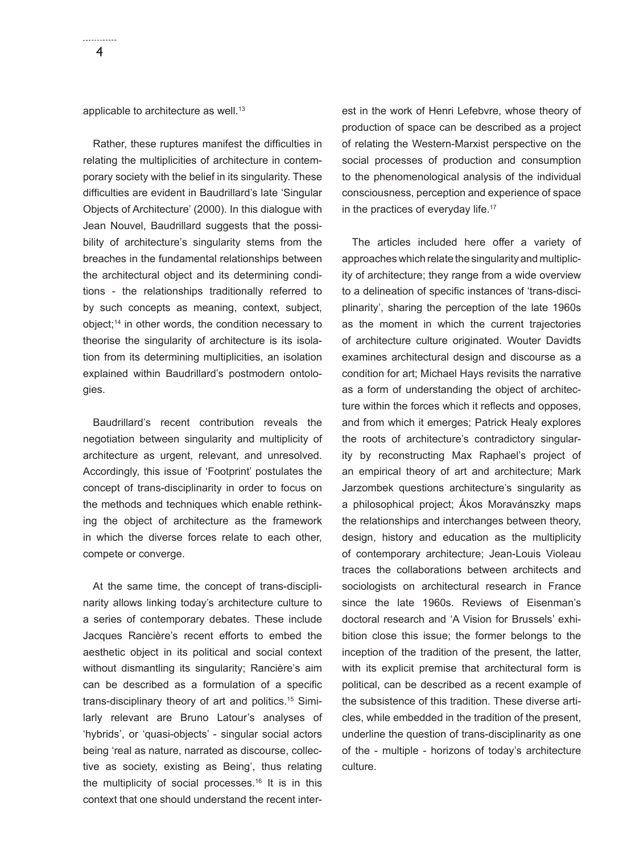applicable to architecture as well.<sup>13</sup>

Rather, these ruptures manifest the difficulties in relating the multiplicities of architecture in contemporary society with the belief in its singularity. These difficulties are evident in Baudrillard's late 'Singular Objects of Architecture' (2000). In this dialogue with Jean Nouvel, Baudrillard suggests that the possibility of architecture's singularity stems from the breaches in the fundamental relationships between the architectural object and its determining conditions - the relationships traditionally referred to by such concepts as meaning, context, subject, object;14 in other words, the condition necessary to theorise the singularity of architecture is its isolation from its determining multiplicities, an isolation explained within Baudrillard's postmodern ontologies.

Baudrillard's recent contribution reveals the negotiation between singularity and multiplicity of architecture as urgent, relevant, and unresolved. Accordingly, this issue of 'Footprint' postulates the concept of trans-disciplinarity in order to focus on the methods and techniques which enable rethinking the object of architecture as the framework in which the diverse forces relate to each other, compete or converge.

At the same time, the concept of trans-disciplinarity allows linking today's architecture culture to a series of contemporary debates. These include Jacques Rancière's recent efforts to embed the aesthetic object in its political and social context without dismantling its singularity; Rancière's aim can be described as a formulation of a specific trans-disciplinary theory of art and politics.15 Similarly relevant are Bruno Latour's analyses of 'hybrids', or 'quasi-objects' - singular social actors being 'real as nature, narrated as discourse, collective as society, existing as Being', thus relating the multiplicity of social processes.<sup>16</sup> It is in this context that one should understand the recent interest in the work of Henri Lefebvre, whose theory of production of space can be described as a project of relating the Western-Marxist perspective on the social processes of production and consumption to the phenomenological analysis of the individual consciousness, perception and experience of space in the practices of everyday life.<sup>17</sup>

The articles included here offer a variety of approaches which relate the singularity and multiplicity of architecture; they range from a wide overview to a delineation of specific instances of 'trans-disciplinarity', sharing the perception of the late 1960s as the moment in which the current trajectories of architecture culture originated. Wouter Davidts examines architectural design and discourse as a condition for art; Michael Hays revisits the narrative as a form of understanding the object of architecture within the forces which it reflects and opposes, and from which it emerges; Patrick Healy explores the roots of architecture's contradictory singularity by reconstructing Max Raphael's project of an empirical theory of art and architecture; Mark Jarzombek questions architecture's singularity as a philosophical project; Ákos Moravánszky maps the relationships and interchanges between theory, design, history and education as the multiplicity of contemporary architecture; Jean-Louis Violeau traces the collaborations between architects and sociologists on architectural research in France since the late 1960s. Reviews of Eisenman's doctoral research and 'A Vision for Brussels' exhibition close this issue; the former belongs to the inception of the tradition of the present, the latter, with its explicit premise that architectural form is political, can be described as a recent example of the subsistence of this tradition. These diverse articles, while embedded in the tradition of the present, underline the question of trans-disciplinarity as one of the - multiple - horizons of today's architecture culture.